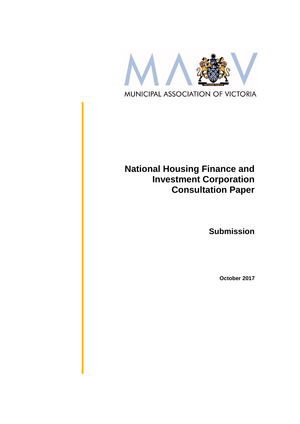

# **National Housing Finance and Investment Corporation Consultation Paper**

**Submission**

**October 2017**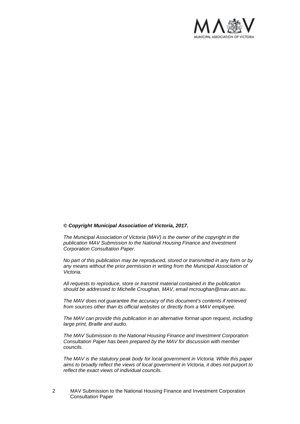

#### *© Copyright Municipal Association of Victoria, 2017.*

*The Municipal Association of Victoria (MAV) is the owner of the copyright in the publication MAV Submission to the National Housing Finance and Investment Corporation Consultation Paper.* 

*No part of this publication may be reproduced, stored or transmitted in any form or by any means without the prior permission in writing from the Municipal Association of Victoria.* 

*All requests to reproduce, store or transmit material contained in the publication should be addressed to Michelle Croughan, MAV, email mcroughan@mav.asn.au.* 

*The MAV does not guarantee the accuracy of this document's contents if retrieved from sources other than its official websites or directly from a MAV employee.*

*The MAV can provide this publication in an alternative format upon request, including large print, Braille and audio.* 

*The MAV Submission to the National Housing Finance and Investment Corporation Consultation Paper has been prepared by the MAV for discussion with member councils.* 

*The MAV is the statutory peak body for local government in Victoria. While this paper aims to broadly reflect the views of local government in Victoria, it does not purport to reflect the exact views of individual councils.*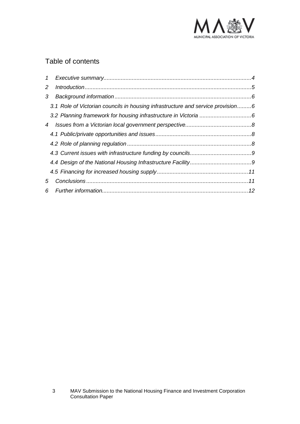

## Table of contents

| $\mathcal{I}$  |                                                                                 |  |
|----------------|---------------------------------------------------------------------------------|--|
| $\overline{2}$ |                                                                                 |  |
| 3              |                                                                                 |  |
|                | 3.1 Role of Victorian councils in housing infrastructure and service provision6 |  |
|                |                                                                                 |  |
| 4              |                                                                                 |  |
|                |                                                                                 |  |
|                |                                                                                 |  |
|                |                                                                                 |  |
|                |                                                                                 |  |
|                |                                                                                 |  |
| 5              |                                                                                 |  |
|                |                                                                                 |  |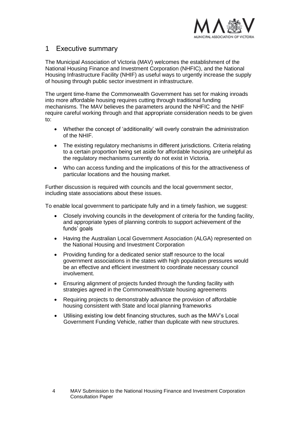

### <span id="page-3-0"></span>1 Executive summary

The Municipal Association of Victoria (MAV) welcomes the establishment of the National Housing Finance and Investment Corporation (NHFIC), and the National Housing Infrastructure Facility (NHIF) as useful ways to urgently increase the supply of housing through public sector investment in infrastructure.

The urgent time-frame the Commonwealth Government has set for making inroads into more affordable housing requires cutting through traditional funding mechanisms. The MAV believes the parameters around the NHFIC and the NHIF require careful working through and that appropriate consideration needs to be given to:

- Whether the concept of 'additionality' will overly constrain the administration of the NHIF.
- The existing regulatory mechanisms in different jurisdictions. Criteria relating to a certain proportion being set aside for affordable housing are unhelpful as the regulatory mechanisms currently do not exist in Victoria.
- Who can access funding and the implications of this for the attractiveness of particular locations and the housing market.

Further discussion is required with councils and the local government sector, including state associations about these issues.

To enable local government to participate fully and in a timely fashion, we suggest:

- Closely involving councils in the development of criteria for the funding facility, and appropriate types of planning controls to support achievement of the funds' goals
- Having the Australian Local Government Association (ALGA) represented on the National Housing and Investment Corporation
- Providing funding for a dedicated senior staff resource to the local government associations in the states with high population pressures would be an effective and efficient investment to coordinate necessary council involvement.
- Ensuring alignment of projects funded through the funding facility with strategies agreed in the Commonwealth/state housing agreements
- Requiring projects to demonstrably advance the provision of affordable housing consistent with State and local planning frameworks
- Utilising existing low debt financing structures, such as the MAV's Local Government Funding Vehicle, rather than duplicate with new structures.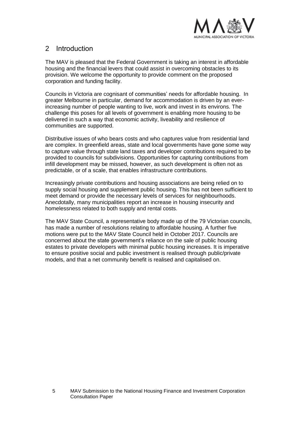

### <span id="page-4-0"></span>2 Introduction

The MAV is pleased that the Federal Government is taking an interest in affordable housing and the financial levers that could assist in overcoming obstacles to its provision. We welcome the opportunity to provide comment on the proposed corporation and funding facility.

Councils in Victoria are cognisant of communities' needs for affordable housing. In greater Melbourne in particular, demand for accommodation is driven by an everincreasing number of people wanting to live, work and invest in its environs. The challenge this poses for all levels of government is enabling more housing to be delivered in such a way that economic activity, liveability and resilience of communities are supported.

Distributive issues of who bears costs and who captures value from residential land are complex. In greenfield areas, state and local governments have gone some way to capture value through state land taxes and developer contributions required to be provided to councils for subdivisions. Opportunities for capturing contributions from infill development may be missed, however, as such development is often not as predictable, or of a scale, that enables infrastructure contributions.

Increasingly private contributions and housing associations are being relied on to supply social housing and supplement public housing. This has not been sufficient to meet demand or provide the necessary levels of services for neighbourhoods. Anecdotally, many municipalities report an increase in housing insecurity and homelessness related to both supply and rental costs.

The MAV State Council, a representative body made up of the 79 Victorian councils, has made a number of resolutions relating to affordable housing. A further five motions were put to the MAV State Council held in October 2017. Councils are concerned about the state government's reliance on the sale of public housing estates to private developers with minimal public housing increases. It is imperative to ensure positive social and public investment is realised through public/private models, and that a net community benefit is realised and capitalised on.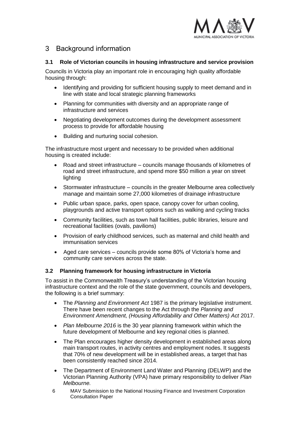

### <span id="page-5-0"></span>3 Background information

#### <span id="page-5-1"></span>**3.1 Role of Victorian councils in housing infrastructure and service provision**

Councils in Victoria play an important role in encouraging high quality affordable housing through:

- Identifying and providing for sufficient housing supply to meet demand and in line with state and local strategic planning frameworks
- Planning for communities with diversity and an appropriate range of infrastructure and services
- Negotiating development outcomes during the development assessment process to provide for affordable housing
- Building and nurturing social cohesion.

The infrastructure most urgent and necessary to be provided when additional housing is created include:

- Road and street infrastructure councils manage thousands of kilometres of road and street infrastructure, and spend more \$50 million a year on street lighting
- Stormwater infrastructure councils in the greater Melbourne area collectively manage and maintain some 27,000 kilometres of drainage infrastructure
- Public urban space, parks, open space, canopy cover for urban cooling, playgrounds and active transport options such as walking and cycling tracks
- Community facilities, such as town hall facilities, public libraries, leisure and recreational facilities (ovals, pavilions)
- Provision of early childhood services, such as maternal and child health and immunisation services
- Aged care services councils provide some 80% of Victoria's home and community care services across the state.

### <span id="page-5-2"></span>**3.2 Planning framework for housing infrastructure in Victoria**

To assist in the Commonwealth Treasury's understanding of the Victorian housing infrastructure context and the role of the state government, councils and developers, the following is a brief summary:

- The *Planning and Environment Act* 1987 is the primary legislative instrument. There have been recent changes to the Act through the *Planning and Environment Amendment, (Housing Affordability and Other Matters) Act* 2017.
- *Plan Melbourne 2016* is the 30 year planning framework within which the future development of Melbourne and key regional cities is planned.
- The Plan encourages higher density development in established areas along main transport routes, in activity centres and employment nodes. It suggests that 70% of new development will be in established areas, a target that has been consistently reached since 2014.
- The Department of Environment Land Water and Planning (DELWP) and the Victorian Planning Authority (VPA) have primary responsibility to deliver *Plan Melbourne.*
- 6 MAV Submission to the National Housing Finance and Investment Corporation Consultation Paper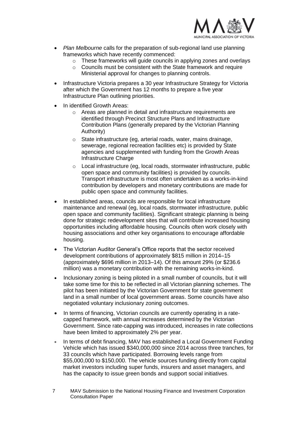

- *Plan Melbourne* calls for the preparation of sub-regional land use planning frameworks which have recently commenced:
	- o These frameworks will guide councils in applying zones and overlays
	- o Councils must be consistent with the State framework and require Ministerial approval for changes to planning controls.
- Infrastructure Victoria prepares a 30 year Infrastructure Strategy for Victoria after which the Government has 12 months to prepare a five year Infrastructure Plan outlining priorities.
- In identified Growth Areas:
	- o Areas are planned in detail and infrastructure requirements are identified through Precinct Structure Plans and Infrastructure Contribution Plans (generally prepared by the Victorian Planning Authority)
	- o State infrastructure (eg, arterial roads, water, mains drainage, sewerage, regional recreation facilities etc) is provided by State agencies and supplemented with funding from the Growth Areas Infrastructure Charge
	- o Local infrastructure (eg, local roads, stormwater infrastructure, public open space and community facilities) is provided by councils. Transport infrastructure is most often undertaken as a works-in-kind contribution by developers and monetary contributions are made for public open space and community facilities.
- In established areas, councils are responsible for local infrastructure maintenance and renewal (eg, local roads, stormwater infrastructure, public open space and community facilities). Significant strategic planning is being done for strategic redevelopment sites that will contribute increased housing opportunities including affordable housing. Councils often work closely with housing associations and other key organisations to encourage affordable housing.
- The Victorian Auditor General's Office reports that the sector received development contributions of approximately \$815 million in 2014–15 (approximately \$696 million in 2013–14). Of this amount 29% (or \$236.6 million) was a monetary contribution with the remaining works-in-kind.
- Inclusionary zoning is being piloted in a small number of councils, but it will take some time for this to be reflected in all Victorian planning schemes. The pilot has been initiated by the Victorian Government for state government land in a small number of local government areas. Some councils have also negotiated voluntary inclusionary zoning outcomes.
- In terms of financing, Victorian councils are currently operating in a ratecapped framework, with annual increases determined by the Victorian Government. Since rate-capping was introduced, increases in rate collections have been limited to approximately 2% per year.
- In terms of debt financing, MAV has established a Local Government Funding Vehicle which has issued \$340,000,000 since 2014 across three tranches, for 33 councils which have participated. Borrowing levels range from \$55,000,000 to \$150,000. The vehicle sources funding directly from capital market investors including super funds, insurers and asset managers, and has the capacity to issue green bonds and support social initiatives.
- 7 MAV Submission to the National Housing Finance and Investment Corporation Consultation Paper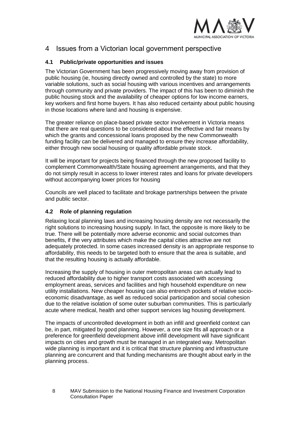

### <span id="page-7-0"></span>4 Issues from a Victorian local government perspective

#### <span id="page-7-1"></span>**4.1 Public/private opportunities and issues**

The Victorian Government has been progressively moving away from provision of public housing (ie, housing directly owned and controlled by the state) to more variable solutions, such as social housing with various incentives and arrangements through community and private providers. The impact of this has been to diminish the public housing stock and the availability of cheaper options for low income earners, key workers and first home buyers. It has also reduced certainty about public housing in those locations where land and housing is expensive.

The greater reliance on place-based private sector involvement in Victoria means that there are real questions to be considered about the effective and fair means by which the grants and concessional loans proposed by the new Commonwealth funding facility can be delivered and managed to ensure they increase affordability, either through new social housing or quality affordable private stock.

It will be important for projects being financed through the new proposed facility to complement Commonwealth/State housing agreement arrangements, and that they do not simply result in access to lower interest rates and loans for private developers without accompanying lower prices for housing

Councils are well placed to facilitate and brokage partnerships between the private and public sector.

### <span id="page-7-2"></span>**4.2 Role of planning regulation**

Relaxing local planning laws and increasing housing density are not necessarily the right solutions to increasing housing supply. In fact, the opposite is more likely to be true. There will be potentially more adverse economic and social outcomes than benefits, if the very attributes which make the capital cities attractive are not adequately protected. In some cases increased density is an appropriate response to affordability, this needs to be targeted both to ensure that the area is suitable, and that the resulting housing is actually affordable.

Increasing the supply of housing in outer metropolitan areas can actually lead to reduced affordability due to higher transport costs associated with accessing employment areas, services and facilities and high household expenditure on new utility installations. New cheaper housing can also entrench pockets of relative socioeconomic disadvantage, as well as reduced social participation and social cohesion due to the relative isolation of some outer suburban communities. This is particularly acute where medical, health and other support services lag housing development.

The impacts of uncontrolled development in both an infill and greenfield context can be, in part, mitigated by good planning. However, a one size fits all approach or a preference for greenfield development above infill development will have significant impacts on cities and growth must be managed in an integrated way. Metropolitan wide planning is important and it is critical that structure planning and infrastructure planning are concurrent and that funding mechanisms are thought about early in the planning process.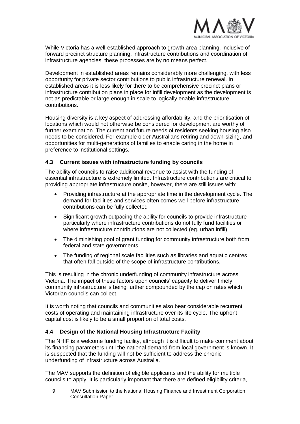

While Victoria has a well-established approach to growth area planning, inclusive of forward precinct structure planning, infrastructure contributions and coordination of infrastructure agencies, these processes are by no means perfect.

Development in established areas remains considerably more challenging, with less opportunity for private sector contributions to public infrastructure renewal. In established areas it is less likely for there to be comprehensive precinct plans or infrastructure contribution plans in place for infill development as the development is not as predictable or large enough in scale to logically enable infrastructure contributions.

Housing diversity is a key aspect of addressing affordability, and the prioritisation of locations which would not otherwise be considered for development are worthy of further examination. The current and future needs of residents seeking housing also needs to be considered. For example older Australians retiring and down-sizing, and opportunities for multi-generations of families to enable caring in the home in preference to institutional settings.

#### <span id="page-8-0"></span>**4.3 Current issues with infrastructure funding by councils**

The ability of councils to raise additional revenue to assist with the funding of essential infrastructure is extremely limited. Infrastructure contributions are critical to providing appropriate infrastructure onsite, however, there are still issues with:

- Providing infrastructure at the appropriate time in the development cycle. The demand for facilities and services often comes well before infrastructure contributions can be fully collected
- Significant growth outpacing the ability for councils to provide infrastructure particularly where infrastructure contributions do not fully fund facilities or where infrastructure contributions are not collected (eg. urban infill).
- The diminishing pool of grant funding for community infrastructure both from federal and state governments.
- The funding of regional scale facilities such as libraries and aquatic centres that often fall outside of the scope of infrastructure contributions.

This is resulting in the chronic underfunding of community infrastructure across Victoria. The impact of these factors upon councils' capacity to deliver timely community infrastructure is being further compounded by the cap on rates which Victorian councils can collect.

It is worth noting that councils and communities also bear considerable recurrent costs of operating and maintaining infrastructure over its life cycle. The upfront capital cost is likely to be a small proportion of total costs.

#### <span id="page-8-1"></span>**4.4 Design of the National Housing Infrastructure Facility**

The NHIF is a welcome funding facility, although it is difficult to make comment about its financing parameters until the national demand from local government is known. It is suspected that the funding will not be sufficient to address the chronic underfunding of infrastructure across Australia.

The MAV supports the definition of eligible applicants and the ability for multiple councils to apply. It is particularly important that there are defined eligibility criteria,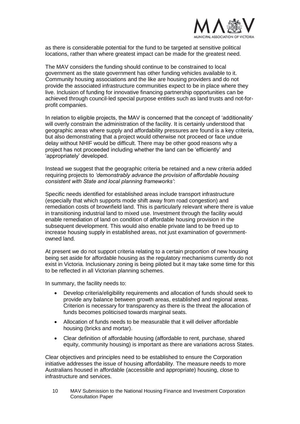

as there is considerable potential for the fund to be targeted at sensitive political locations, rather than where greatest impact can be made for the greatest need.

The MAV considers the funding should continue to be constrained to local government as the state government has other funding vehicles available to it. Community housing associations and the like are housing providers and do not provide the associated infrastructure communities expect to be in place where they live. Inclusion of funding for innovative financing partnership opportunities can be achieved through council-led special purpose entities such as land trusts and not-forprofit companies.

In relation to eligible projects, the MAV is concerned that the concept of 'additionality' will overly constrain the administration of the facility. It is certainly understood that geographic areas where supply and affordability pressures are found is a key criteria, but also demonstrating that a project would otherwise not proceed or face undue delay without NHIF would be difficult. There may be other good reasons why a project has not proceeded including whether the land can be 'efficiently' and 'appropriately' developed.

Instead we suggest that the geographic criteria be retained and a new criteria added requiring projects to *'demonstrably advance the provision of affordable housing consistent with State and local planning frameworks'*:

Specific needs identified for established areas include transport infrastructure (especially that which supports mode shift away from road congestion) and remediation costs of brownfield land. This is particularly relevant where there is value in transitioning industrial land to mixed use. Investment through the facility would enable remediation of land on condition of affordable housing provision in the subsequent development. This would also enable private land to be freed up to increase housing supply in established areas, not just examination of governmentowned land.

At present we do not support criteria relating to a certain proportion of new housing being set aside for affordable housing as the regulatory mechanisms currently do not exist in Victoria. Inclusionary zoning is being piloted but it may take some time for this to be reflected in all Victorian planning schemes.

In summary, the facility needs to:

- Develop criteria/eligibility requirements and allocation of funds should seek to provide any balance between growth areas, established and regional areas. Criterion is necessary for transparency as there is the threat the allocation of funds becomes politicised towards marginal seats.
- Allocation of funds needs to be measurable that it will deliver affordable housing (bricks and mortar).
- Clear definition of affordable housing (affordable to rent, purchase, shared equity, community housing) is important as there are variations across States.

Clear objectives and principles need to be established to ensure the Corporation initiative addresses the issue of housing affordability. The measure needs to more Australians housed in affordable (accessible and appropriate) housing, close to infrastructure and services.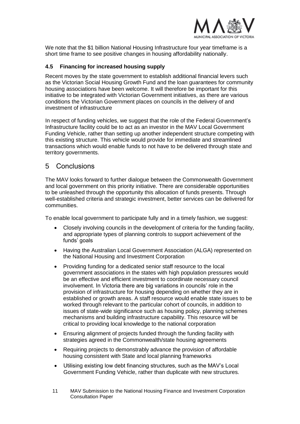

We note that the \$1 billion National Housing Infrastructure four year timeframe is a short time frame to see positive changes in housing affordability nationally.

#### <span id="page-10-0"></span>**4.5 Financing for increased housing supply**

Recent moves by the state government to establish additional financial levers such as the Victorian Social Housing Growth Fund and the loan guarantees for community housing associations have been welcome. It will therefore be important for this initiative to be integrated with Victorian Government initiatives, as there are various conditions the Victorian Government places on councils in the delivery of and investment of infrastructure

In respect of funding vehicles, we suggest that the role of the Federal Government's Infrastructure facility could be to act as an investor in the MAV Local Government Funding Vehicle, rather than setting up another independent structure competing with this existing structure. This vehicle would provide for immediate and streamlined transactions which would enable funds to not have to be delivered through state and territory governments.

### <span id="page-10-1"></span>5 Conclusions

The MAV looks forward to further dialogue between the Commonwealth Government and local government on this priority initiative. There are considerable opportunities to be unleashed through the opportunity this allocation of funds presents. Through well-established criteria and strategic investment, better services can be delivered for communities.

To enable local government to participate fully and in a timely fashion, we suggest:

- Closely involving councils in the development of criteria for the funding facility, and appropriate types of planning controls to support achievement of the funds' goals
- Having the Australian Local Government Association (ALGA) represented on the National Housing and Investment Corporation
- Providing funding for a dedicated senior staff resource to the local government associations in the states with high population pressures would be an effective and efficient investment to coordinate necessary council involvement. In Victoria there are big variations in councils' role in the provision of infrastructure for housing depending on whether they are in established or growth areas. A staff resource would enable state issues to be worked through relevant to the particular cohort of councils, in addition to issues of state-wide significance such as housing policy, planning schemes mechanisms and building infrastructure capability. This resource will be critical to providing local knowledge to the national corporation
- Ensuring alignment of projects funded through the funding facility with strategies agreed in the Commonwealth/state housing agreements
- Requiring projects to demonstrably advance the provision of affordable housing consistent with State and local planning frameworks
- Utilising existing low debt financing structures, such as the MAV's Local Government Funding Vehicle, rather than duplicate with new structures.
- 11 MAV Submission to the National Housing Finance and Investment Corporation Consultation Paper